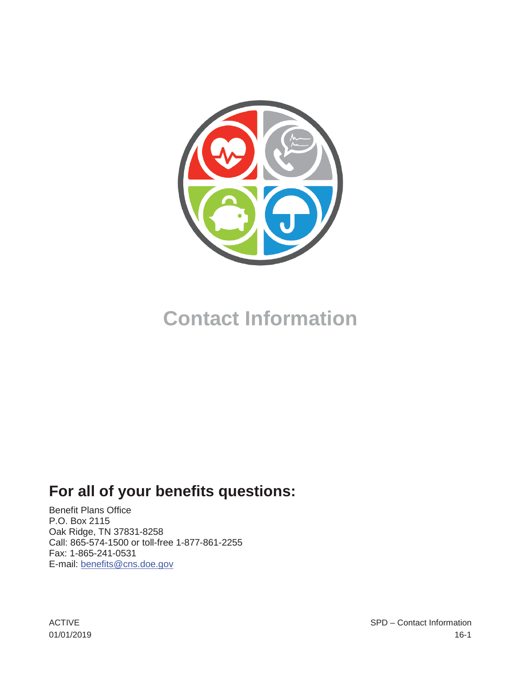

## **Contact Information**

## **For all of your benefits questions:**

Benefit Plans Office P.O. Box 2115 Oak Ridge, TN 37831-8258 Call: 865-574-1500 or toll-free 1-877-861-2255 Fax: 1-865-241-0531 E-mail: benefits@cns.doe.gov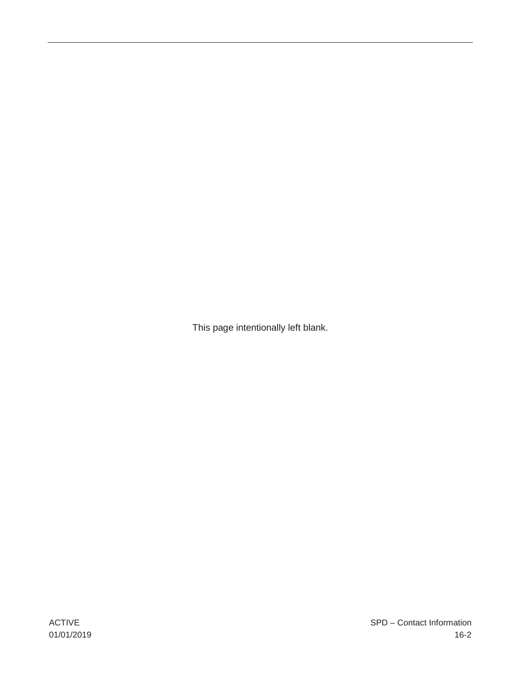This page intentionally left blank.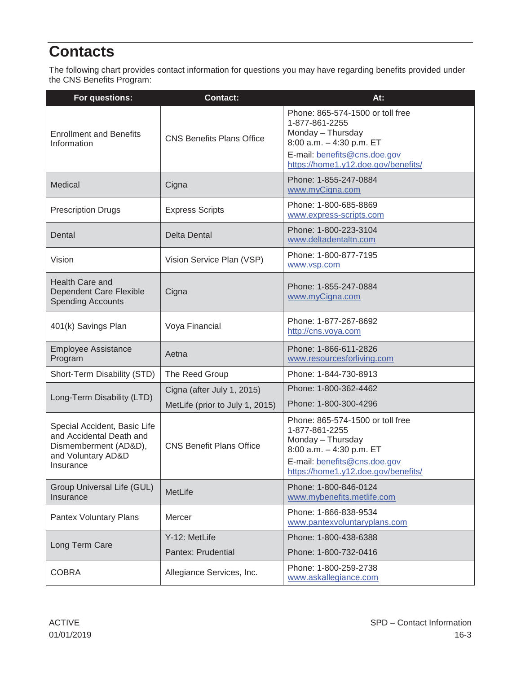## **Contacts**

The following chart provides contact information for questions you may have regarding benefits provided under the CNS Benefits Program:

| For questions:                                                                                                       | <b>Contact:</b>                                               | At:                                                                                                                                                                          |
|----------------------------------------------------------------------------------------------------------------------|---------------------------------------------------------------|------------------------------------------------------------------------------------------------------------------------------------------------------------------------------|
| <b>Enrollment and Benefits</b><br>Information                                                                        | <b>CNS Benefits Plans Office</b>                              | Phone: 865-574-1500 or toll free<br>1-877-861-2255<br>Monday - Thursday<br>8:00 a.m. - 4:30 p.m. ET<br>E-mail: benefits@cns.doe.gov<br>https://home1.y12.doe.gov/benefits/   |
| Medical                                                                                                              | Cigna                                                         | Phone: 1-855-247-0884<br>www.myCigna.com                                                                                                                                     |
| <b>Prescription Drugs</b>                                                                                            | <b>Express Scripts</b>                                        | Phone: 1-800-685-8869<br>www.express-scripts.com                                                                                                                             |
| Dental                                                                                                               | <b>Delta Dental</b>                                           | Phone: 1-800-223-3104<br>www.deltadentaltn.com                                                                                                                               |
| Vision                                                                                                               | Vision Service Plan (VSP)                                     | Phone: 1-800-877-7195<br>www.vsp.com                                                                                                                                         |
| <b>Health Care and</b><br>Dependent Care Flexible<br><b>Spending Accounts</b>                                        | Cigna                                                         | Phone: 1-855-247-0884<br>www.myCigna.com                                                                                                                                     |
| 401(k) Savings Plan                                                                                                  | Voya Financial                                                | Phone: 1-877-267-8692<br>http://cns.voya.com                                                                                                                                 |
| <b>Employee Assistance</b><br>Program                                                                                | Aetna                                                         | Phone: 1-866-611-2826<br>www.resourcesforliving.com                                                                                                                          |
| Short-Term Disability (STD)                                                                                          | The Reed Group                                                | Phone: 1-844-730-8913                                                                                                                                                        |
| Long-Term Disability (LTD)                                                                                           | Cigna (after July 1, 2015)<br>MetLife (prior to July 1, 2015) | Phone: 1-800-362-4462<br>Phone: 1-800-300-4296                                                                                                                               |
| Special Accident, Basic Life<br>and Accidental Death and<br>Dismemberment (AD&D),<br>and Voluntary AD&D<br>Insurance | <b>CNS Benefit Plans Office</b>                               | Phone: 865-574-1500 or toll free<br>1-877-861-2255<br>Monday - Thursday<br>8:00 a.m. $-$ 4:30 p.m. ET<br>E-mail: benefits@cns.doe.gov<br>https://home1.y12.doe.gov/benefits/ |
| Group Universal Life (GUL)<br>Insurance                                                                              | MetLife                                                       | Phone: 1-800-846-0124<br>www.mybenefits.metlife.com                                                                                                                          |
| Pantex Voluntary Plans                                                                                               | Mercer                                                        | Phone: 1-866-838-9534<br>www.pantexvoluntaryplans.com                                                                                                                        |
| Long Term Care                                                                                                       | Y-12: MetLife                                                 | Phone: 1-800-438-6388                                                                                                                                                        |
|                                                                                                                      | Pantex: Prudential                                            | Phone: 1-800-732-0416                                                                                                                                                        |
| <b>COBRA</b>                                                                                                         | Allegiance Services, Inc.                                     | Phone: 1-800-259-2738<br>www.askallegiance.com                                                                                                                               |